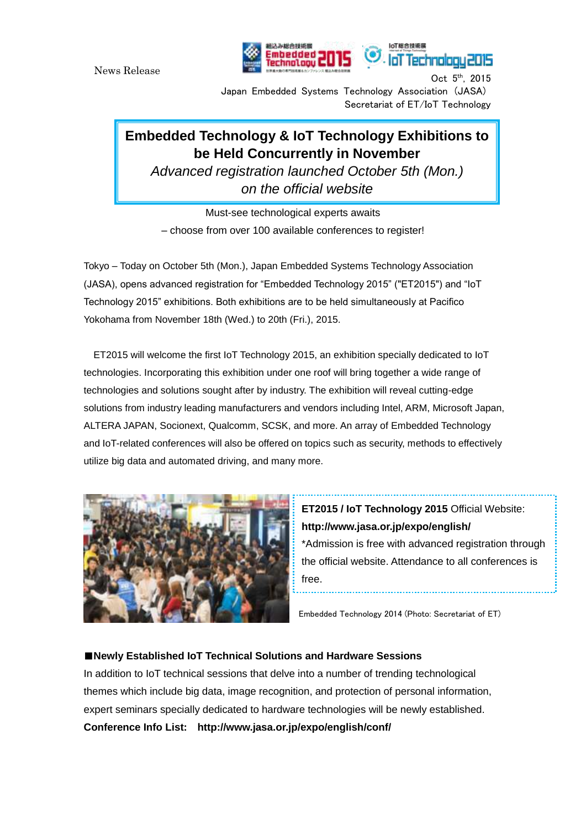News Release



Oct  $5<sup>th</sup>$ , 2015 Japan Embedded Systems Technology Association (JASA) Secretariat of ET/IoT Technology

loT総合技術用

loT Technolog

## **Embedded Technology & IoT Technology Exhibitions to be Held Concurrently in November**

*Advanced registration launched October 5th (Mon.) on the official website*

Must-see technological experts awaits – choose from over 100 available conferences to register!

Tokyo – Today on October 5th (Mon.), Japan Embedded Systems Technology Association (JASA), opens advanced registration for "Embedded Technology 2015" ("ET2015") and "IoT Technology 2015" exhibitions. Both exhibitions are to be held simultaneously at Pacifico Yokohama from November 18th (Wed.) to 20th (Fri.), 2015.

ET2015 will welcome the first IoT Technology 2015, an exhibition specially dedicated to IoT technologies. Incorporating this exhibition under one roof will bring together a wide range of technologies and solutions sought after by industry. The exhibition will reveal cutting-edge solutions from industry leading manufacturers and vendors including Intel, ARM, Microsoft Japan, ALTERA JAPAN, Socionext, Qualcomm, SCSK, and more. An array of Embedded Technology and IoT-related conferences will also be offered on topics such as security, methods to effectively utilize big data and automated driving, and many more.



**ET2015 / IoT Technology 2015** Official Website: **http://www.jasa.or.jp/expo/english/** \*Admission is free with advanced registration through the official website. Attendance to all conferences is free.

Embedded Technology 2014 (Photo: Secretariat of ET)

## ■**Newly Established IoT Technical Solutions and Hardware Sessions**

In addition to IoT technical sessions that delve into a number of trending technological themes which include big data, image recognition, and protection of personal information, expert seminars specially dedicated to hardware technologies will be newly established. **Conference Info List: <http://www.jasa.or.jp/expo/english/conf/>**